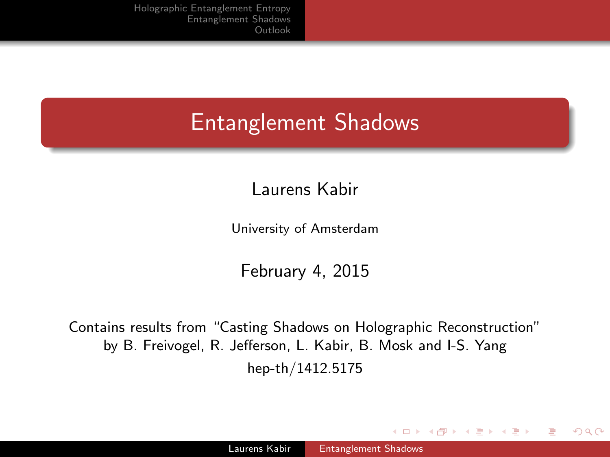# Entanglement Shadows

Laurens Kabir

University of Amsterdam

February 4, 2015

Contains results from "Casting Shadows on Holographic Reconstruction" by B. Freivogel, R. Jefferson, L. Kabir, B. Mosk and I-S. Yang hep-th/1412.5175

 $\sim$   $\sim$ 

A . . 2 .

<span id="page-0-0"></span>つくい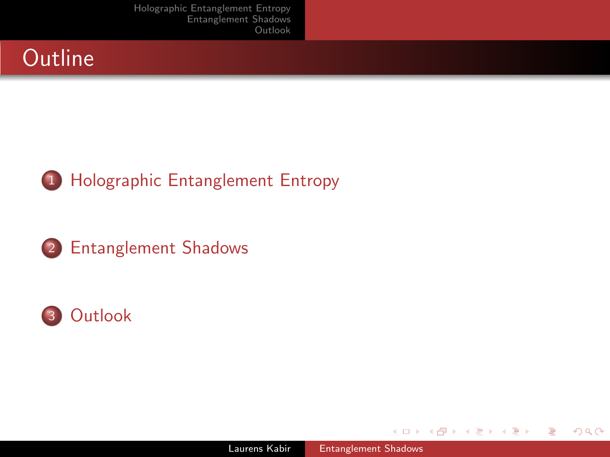







 $\sim$   $\sim$ 

 $\sim$ 

∢ 何 ▶ 《 百 ▶

э

 $-4$ 

<span id="page-1-0"></span>つくへ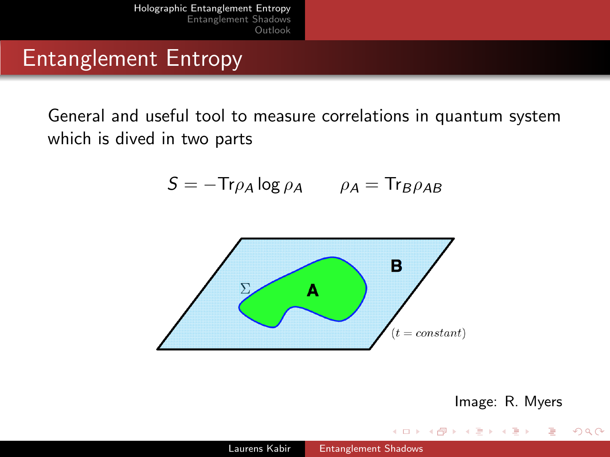### Entanglement Entropy

General and useful tool to measure correlations in quantum system which is dived in two parts

$$
S = -\text{Tr}\rho_A \log \rho_A \qquad \rho_A = \text{Tr}_B \rho_{AB}
$$





<span id="page-2-0"></span> $\Omega$ 

and in

**British**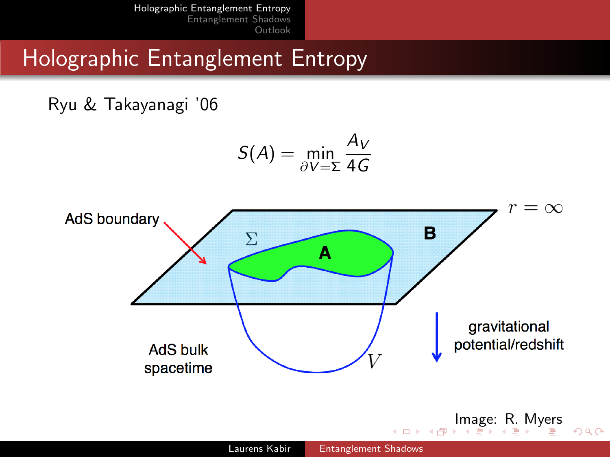### Holographic Entanglement Entropy

Ryu & Takayanagi '06

$$
S(A) = \min_{\partial V = \Sigma} \frac{A_V}{4G}
$$

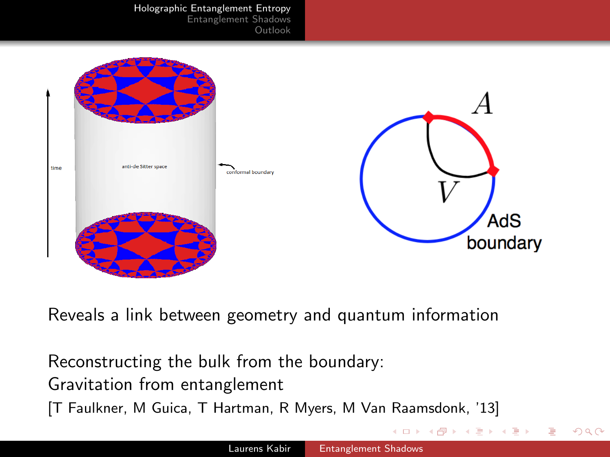[Holographic Entanglement Entropy](#page-2-0)

[Entanglement Shadows](#page-5-0) [Outlook](#page-7-0)



Reveals a link between geometry and quantum information

Reconstructing the bulk from the boundary: Gravitation from entanglement [T Faulkner, M Guica, T Hartman, R Myers, M Van Raamsdonk, '13]

<span id="page-4-0"></span>つくへ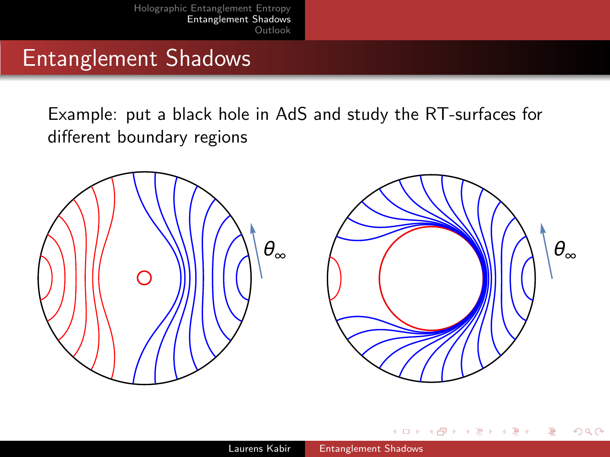### Entanglement Shadows

Example: put a black hole in AdS and study the RT-surfaces for different boundary regions





 $\sim$ 

<span id="page-5-0"></span> $\Omega$ 

Ð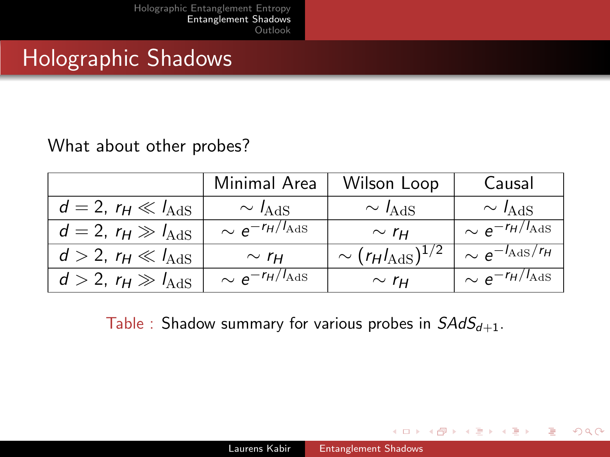## Holographic Shadows

#### What about other probes?

|                                    | Minimal Area                    | Wilson Loop                    | Causal                          |
|------------------------------------|---------------------------------|--------------------------------|---------------------------------|
| $d=2$ , $r_H \ll l_{\text{AdS}}$   | $\sim I_{\rm AdS}$              | $\sim I_{\rm AdS}$             | $\sim I_{\rm AdS}$              |
| $d=2$ , $r_H \gg l_{\text{AdS}}$   | $\sim e^{-r_H/I_{\text{AdS}}}\$ | $\sim r_H$                     | $\sim e^{-r_H/l_{\text{AdS}}}\$ |
| $d > 2$ , $r_H \ll l_{\text{AdS}}$ | $\sim r_H$                      | $\sim (r_H l_{\rm AdS})^{1/2}$ | $\sim e^{-I_{\rm AdS}/r_H}$     |
| $d > 2$ , $r_H \gg l_{\text{AdS}}$ | $\sim e^{-r_H/I_{\text{AdS}}}$  | $\sim r_H$                     | $\sim e^{-r_H/I_{\rm AdS}}$     |

Table : Shadow summary for various probes in  $SAdS_{d+1}$ .

4 m k

∢ 何 ▶ 《 百 ▶

 $QQ$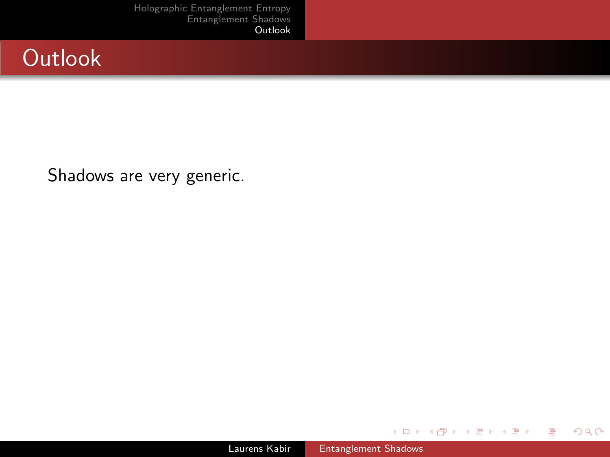## **Outlook**

Shadows are very generic.

**K ロ ▶ | K 伊 ▶ | K ヨ** 

 $\mathbf{p}$  $\rightarrow$   $\equiv$  Ε

 $\rightarrow$ 

<span id="page-7-0"></span> $299$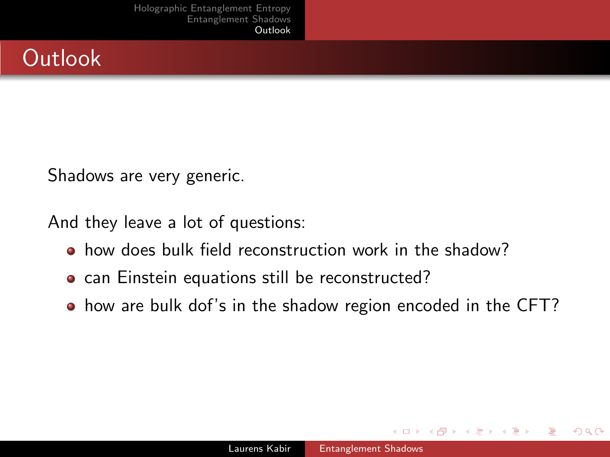

Shadows are very generic.

And they leave a lot of questions:

- how does bulk field reconstruction work in the shadow?
- can Einstein equations still be reconstructed?
- how are bulk dof's in the shadow region encoded in the CFT?

つくい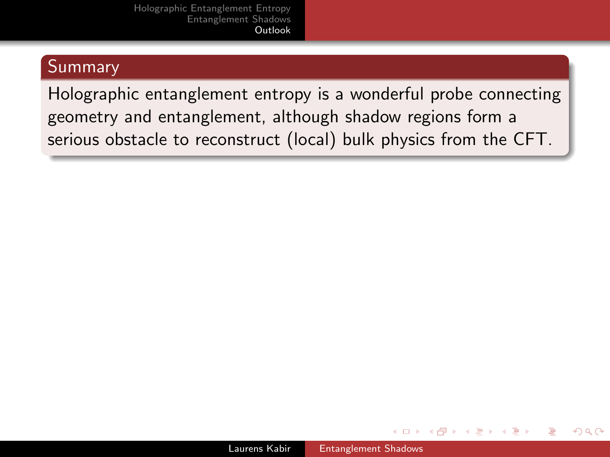#### Summary

Holographic entanglement entropy is a wonderful probe connecting geometry and entanglement, although shadow regions form a serious obstacle to reconstruct (local) bulk physics from the CFT.

 $299$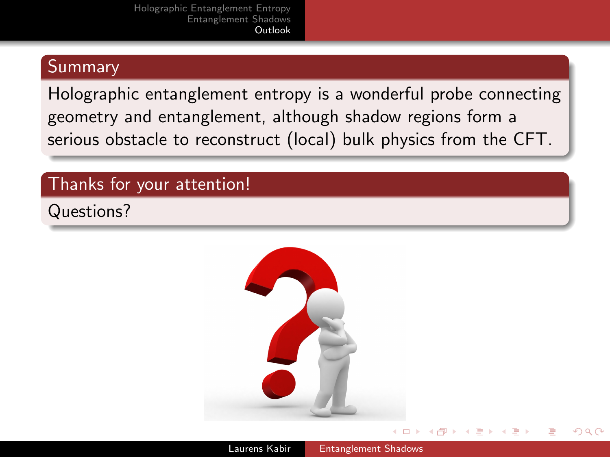#### Summary

Holographic entanglement entropy is a wonderful probe connecting geometry and entanglement, although shadow regions form a serious obstacle to reconstruct (local) bulk physics from the CFT.

#### Thanks for your attention!

Questions?



つくい